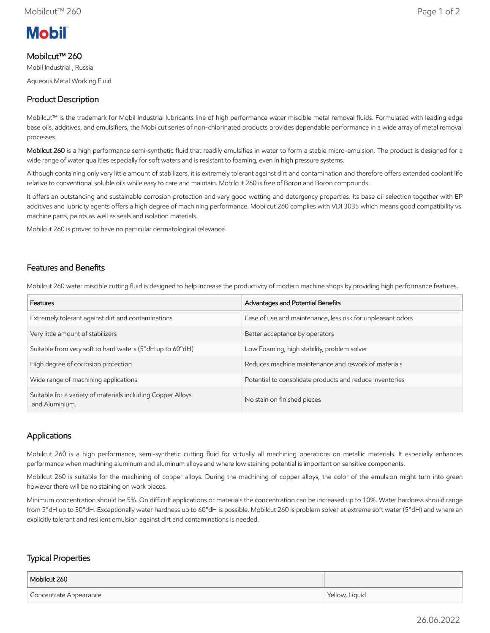

#### Mobilcut™ 260

Mobil Industrial , Russia

Aqueous Metal Working Fluid

# Product Description

Mobilcut™ is the trademark for Mobil Industrial lubricants line of high performance water miscible metal removal fluids. Formulated with leading edge base oils, additives, and emulsifiers, the Mobilcut series of non-chlorinated products provides dependable performance in a wide array of metal removal processes.

Mobilcut 260 is a high performance semi-synthetic fluid that readily emulsifies in water to form a stable micro-emulsion. The product is designed for a wide range of water qualities especially for soft waters and is resistant to foaming, even in high pressure systems.

Although containing only very little amount of stabilizers, it is extremely tolerant against dirt and contamination and therefore offers extended coolant life relative to conventional soluble oils while easy to care and maintain. Mobilcut 260 is free of Boron and Boron compounds.

It offers an outstanding and sustainable corrosion protection and very good wetting and detergency properties. Its base oil selection together with EP additives and lubricity agents offers a high degree of machining performance. Mobilcut 260 complies with VDI 3035 which means good compatibility vs. machine parts, paints as well as seals and isolation materials.

Mobilcut 260 is proved to have no particular dermatological relevance.

#### Features and Benefits

Mobilcut 260 water miscible cutting fluid is designed to help increase the productivity of modern machine shops by providing high performance features.

| Features                                                                      | Advantages and Potential Benefits                           |
|-------------------------------------------------------------------------------|-------------------------------------------------------------|
| Extremely tolerant against dirt and contaminations                            | Ease of use and maintenance, less risk for unpleasant odors |
| Very little amount of stabilizers                                             | Better acceptance by operators                              |
| Suitable from very soft to hard waters (5°dH up to 60°dH)                     | Low Foaming, high stability, problem solver                 |
| High degree of corrosion protection                                           | Reduces machine maintenance and rework of materials         |
| Wide range of machining applications                                          | Potential to consolidate products and reduce inventories    |
| Suitable for a variety of materials including Copper Alloys<br>and Aluminium. | No stain on finished pieces                                 |

# Applications

Mobilcut 260 is a high performance, semi-synthetic cutting fluid for virtually all machining operations on metallic materials. It especially enhances performance when machining aluminum and aluminum alloys and where low staining potential is important on sensitive components.

Mobilcut 260 is suitable for the machining of copper alloys. During the machining of copper alloys, the color of the emulsion might turn into green however there will be no staining on work pieces.

Minimum concentration should be 5%. On difficult applications or materials the concentration can be increased up to 10%. Water hardness should range from 5°dH up to 30°dH. Exceptionally water hardness up to 60°dH is possible. Mobilcut 260 is problem solver at extreme soft water (5°dH) and where an explicitly tolerant and resilient emulsion against dirt and contaminations is needed.

# Typical Properties

| Mobilcut 260           |                |
|------------------------|----------------|
| Concentrate Appearance | Yellow, Liquid |